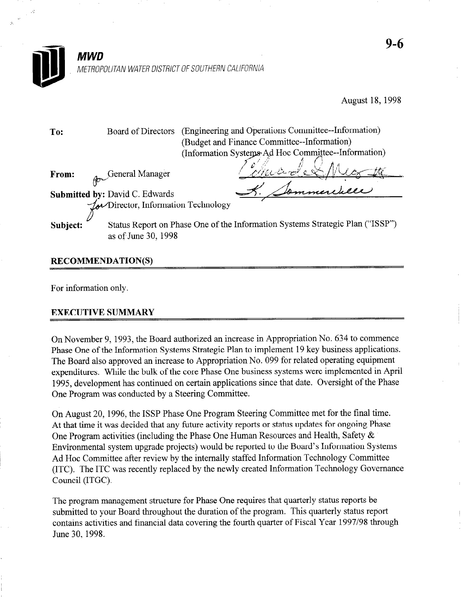

August 18, 1998

To: Board of Directors (Engineering and Operations Committee--Information) (Budget and Finance Committee--Information) (Information Systems Ad Hoc Committee--Information)

From: oc. -General Manager

/

Submitted by: David C. Edwards Director, Information Technology

Subject: Status Report on Phase One of the Information Systems Strategic Plan ("ISSP") as of June 30,1998

## RECOMMENDATION(S)

For information only.

## EXECUTIVE SUMMARY

On November 9, 1993, the Board authorized an increase in Appropriation No. 634 to commence Phase One of the Information Systems Strategic Plan to implement 19 key business applications. The Board also approved an increase to Appropriation No. 099 for related operating equipment expenditures. While the bulk of the core Phase One business systems were implemented in April 1995, development has continued on certain applications since that date. Oversight of the Phase One Program was conducted by a Steering Committee.

On August 20, 1996, the ISSP Phase One Program Steering Committee met for the final time. At that time it was decided that any future activity reports or status updates for ongoing Phase One Program activities (including the Phase One Human Resources and Health, Safety & Environmental system upgrade projects) would be reported to the Board's Information Systems Ad Hoc Committee after review by the internally staffed Information Technology Committee (ITC). The ITC was recently replaced by the newly created Information Technology Governance Council (ITGC).

The program management structure for Phase One requires that quarterly status reports be submitted to your Board throughout the duration of the program. This quarterly status report contains activities and financial data covering the fourth quarter of Fiscal Year 1997/98 through June 30,199s.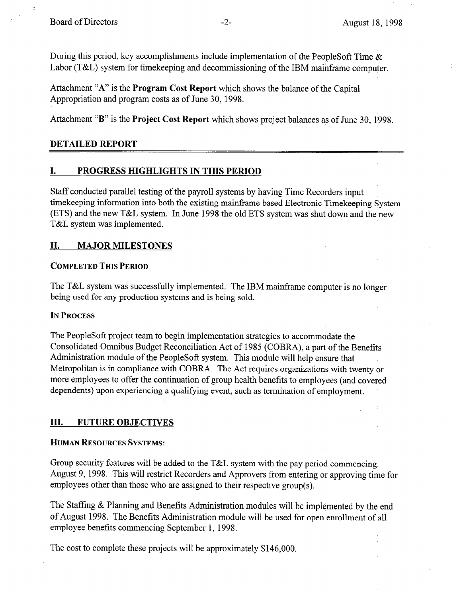During this period, key accomplishments include implementation of the PeopleSoft Time  $\&$ Labor (T&L) system for timekeeping and decommissioning of the IBM mainframe computer.

Attachment "A" is the Program Cost Report which shows the balance of the Capital Appropriation and program costs as of June 30, 1998.

Attachment "B" is the Project Cost Report which shows project balances as of June 30, 1998.

#### DETAILED REPORT

#### I. PROGRESS HIGHLIGHTS IN THIS PERIOD

Staff conducted parallel testing of the payroll systems by having Time Recorders input timekeeping information into both the existing mainframe based Electronic Timekeeping System (ETS) and the new T&L system. In June 1998 the old ETS system was shut down and the new T&L system was implemented.

## II. MAJOR MILESTONES

#### COMPLETED THIS PERIOD

The T&L system was successfully implemented. The IBM mainframe computer is no longer being used for any production systems and is being sold.

#### IN PROCESS

The PeopleSoft project team to begin implementation strategies to accommodate the Consolidated Omnibus Budget Reconciliation Act of 1985 (COBRA), a part of the Benefits Administration module of the PeopleSoft system. This module will help ensure that Metropolitan is in compliance with COBRA. The Act requires organizations with twenty or more employees to offer the continuation of group health benefits to employees (and covered dependents) upon experiencing a qualifying event, such as termination of employment.

#### III. FUTURE OBJECTIVES

#### HUMAN RESOURCES SYSTEMS:

Group security features will be added to the T&L system with the pay period commencing August 9, 1998. This will restrict Recorders and Approvers from entering or approving time for employees other than those who are assigned to their respective group(s).

The Staffing & Planning and Benefits Administration modules will be implemented by the end of August 1998. The Benefits Administration module will be used for open enrollment of all employee benefits commencing September 1, 1998.

The cost to complete these projects will be approximately \$146,000.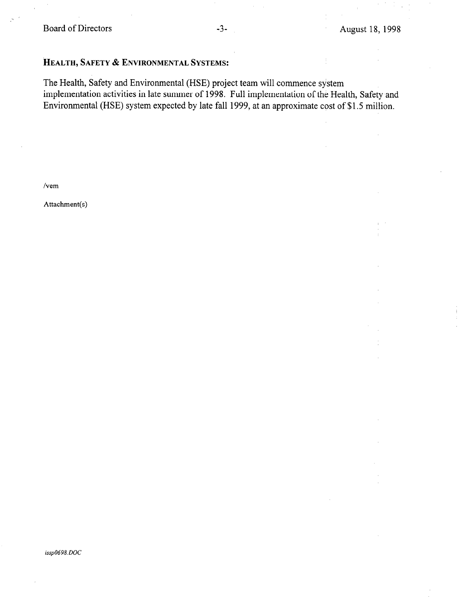Board of Directors -3- August 18, 1998

## HEALTH, SAFETY & ENVIRONMENTAL SYSTEMS:

The Health, Safety and Environmental (HSE) project team will commence system implementation activities in late summer of 1998. Full implementation of the Health, Safety and Environmental (HSE) system expected by late fall 1999, at an approximate cost of \$1.5 million.

/vem

Attachment(s)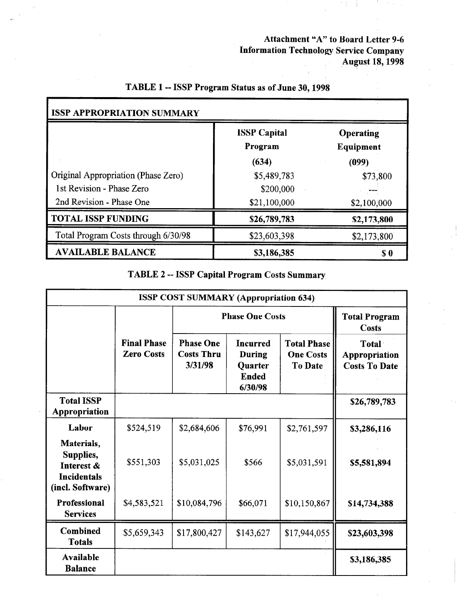Attachment "A" to Board Letter 9-6 Information Technology Service Company August 18,199s

|                                     | <b>ISSP</b> Capital<br>Program | Operating<br>Equipment |  |
|-------------------------------------|--------------------------------|------------------------|--|
|                                     | (634)                          | (099)                  |  |
| Original Appropriation (Phase Zero) | \$5,489,783                    | \$73,800               |  |
| 1st Revision - Phase Zero           | \$200,000                      |                        |  |
| 2nd Revision - Phase One            | \$21,100,000                   | \$2,100,000            |  |
| <b>TOTAL ISSP FUNDING</b>           | \$26,789,783                   | \$2,173,800            |  |
| Total Program Costs through 6/30/98 | \$23,603,398                   | \$2,173,800            |  |
| <b>AVAILABLE BALANCE</b>            | \$3,186,385                    | S O                    |  |

## TABLE 1 -- ISSP Program Status as of June 30,199s

TABLE 2 -- ISSP Capital Program Costs Summary

|                                                                                 |                                         | <b>ISSP COST SUMMARY (Appropriation 634)</b>     |                                                                        |                                                          |                                                |
|---------------------------------------------------------------------------------|-----------------------------------------|--------------------------------------------------|------------------------------------------------------------------------|----------------------------------------------------------|------------------------------------------------|
|                                                                                 |                                         | <b>Phase One Costs</b>                           |                                                                        |                                                          | <b>Total Program</b><br><b>Costs</b>           |
|                                                                                 | <b>Final Phase</b><br><b>Zero Costs</b> | <b>Phase One</b><br><b>Costs Thru</b><br>3/31/98 | <b>Incurred</b><br><b>During</b><br>Quarter<br><b>Ended</b><br>6/30/98 | <b>Total Phase</b><br><b>One Costs</b><br><b>To Date</b> | Total<br>Appropriation<br><b>Costs To Date</b> |
| <b>Total ISSP</b><br>Appropriation                                              |                                         |                                                  |                                                                        |                                                          | \$26,789,783                                   |
| Labor                                                                           | \$524,519                               | \$2,684,606                                      | \$76,991                                                               | \$2,761,597                                              | \$3,286,116                                    |
| Materials,<br>Supplies,<br>Interest &<br><b>Incidentals</b><br>(incl. Software) | \$551,303                               | \$5,031,025                                      | \$566                                                                  | \$5,031,591                                              | \$5,581,894                                    |
| <b>Professional</b><br><b>Services</b>                                          | \$4,583,521                             | \$10,084,796                                     | \$66,071                                                               | \$10,150,867                                             | \$14,734,388                                   |
| Combined<br><b>Totals</b>                                                       | \$5,659,343                             | \$17,800,427                                     | \$143,627                                                              | \$17,944,055                                             | \$23,603,398                                   |
| Available<br><b>Balance</b>                                                     |                                         |                                                  |                                                                        |                                                          | \$3,186,385                                    |